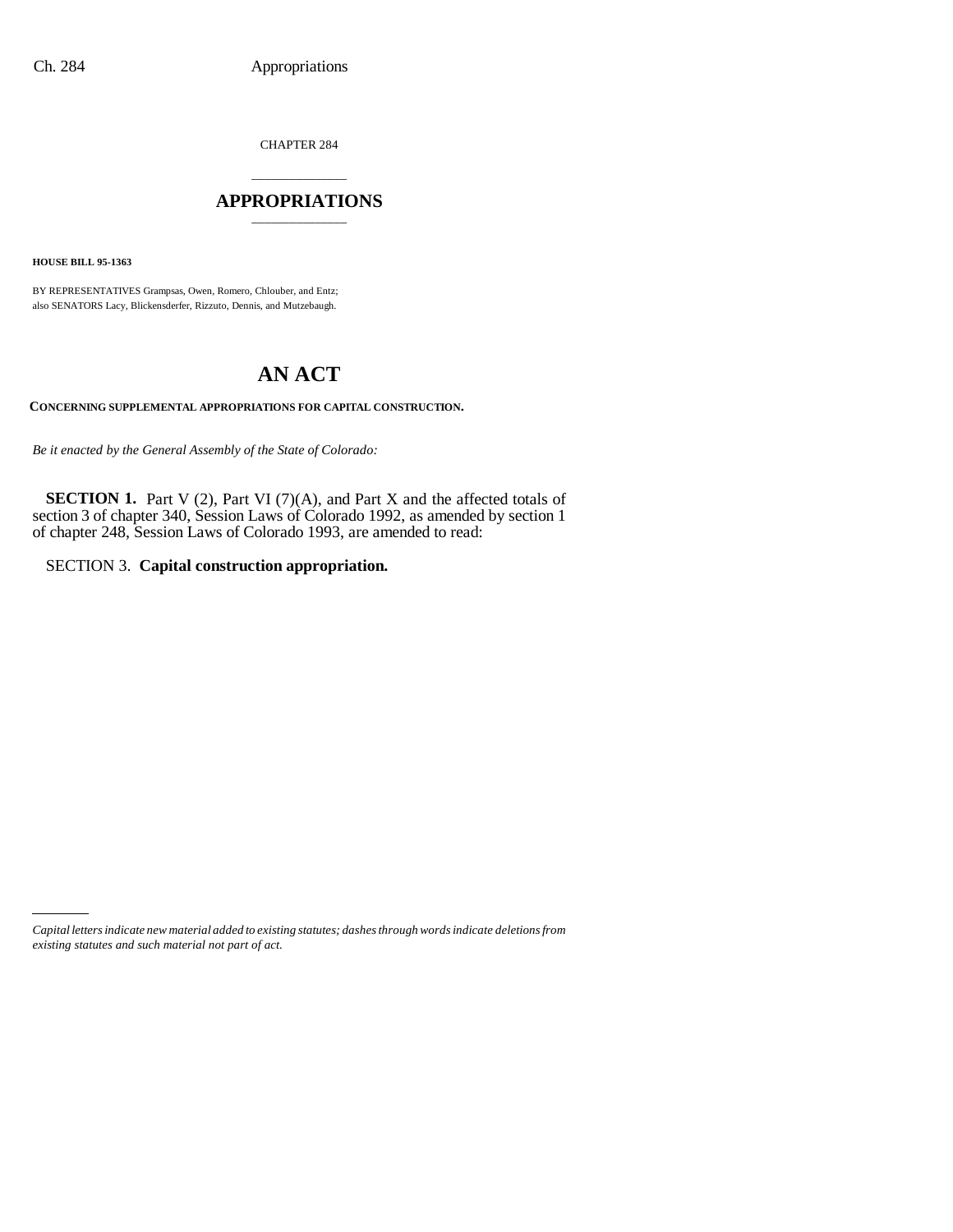CHAPTER 284

### \_\_\_\_\_\_\_\_\_\_\_\_\_\_\_ **APPROPRIATIONS** \_\_\_\_\_\_\_\_\_\_\_\_\_\_\_

**HOUSE BILL 95-1363**

BY REPRESENTATIVES Grampsas, Owen, Romero, Chlouber, and Entz; also SENATORS Lacy, Blickensderfer, Rizzuto, Dennis, and Mutzebaugh.

# **AN ACT**

**CONCERNING SUPPLEMENTAL APPROPRIATIONS FOR CAPITAL CONSTRUCTION.**

*Be it enacted by the General Assembly of the State of Colorado:*

**SECTION 1.** Part V (2), Part VI (7)(A), and Part X and the affected totals of section 3 of chapter 340, Session Laws of Colorado 1992, as amended by section 1 of chapter 248, Session Laws of Colorado 1993, are amended to read:

SECTION 3. **Capital construction appropriation.**

*Capital letters indicate new material added to existing statutes; dashes through words indicate deletions from existing statutes and such material not part of act.*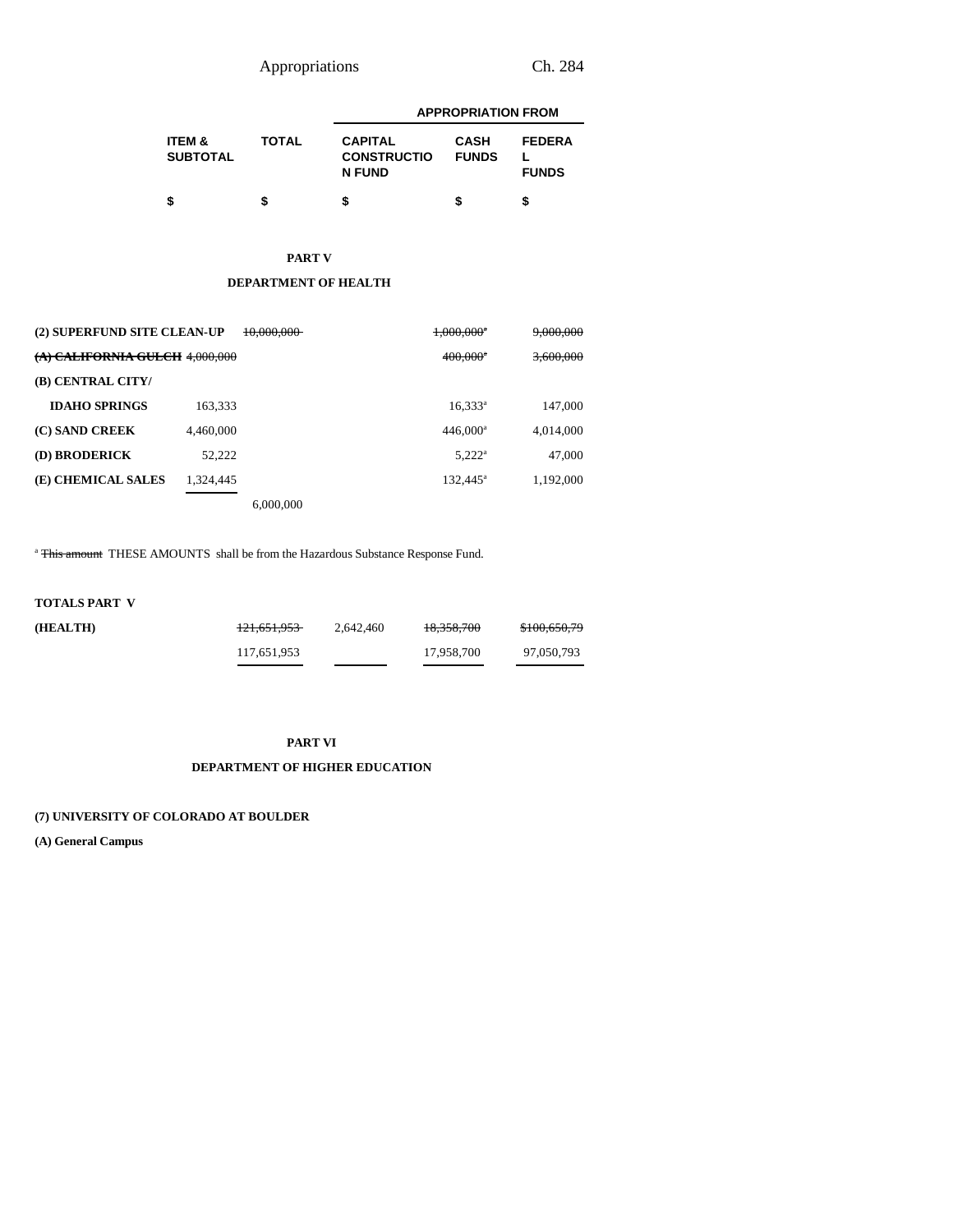Appropriations Ch. 284

|                                      |       |                                                       | <b>APPROPRIATION FROM</b>   |                               |  |  |  |
|--------------------------------------|-------|-------------------------------------------------------|-----------------------------|-------------------------------|--|--|--|
| <b>ITEM &amp;</b><br><b>SUBTOTAL</b> | TOTAL | <b>CAPITAL</b><br><b>CONSTRUCTIO</b><br><b>N FUND</b> | <b>CASH</b><br><b>FUNDS</b> | <b>FEDERA</b><br><b>FUNDS</b> |  |  |  |
|                                      |       |                                                       | S                           |                               |  |  |  |

# **PART V**

### **DEPARTMENT OF HEALTH**

| (2) SUPERFUND SITE CLEAN-UP    |           | 10,000,000 | $1,000,000$ <sup>*</sup> | 9,000,000 |
|--------------------------------|-----------|------------|--------------------------|-----------|
| (A) CALIFORNIA GULCH 4.000.000 |           |            | $400,000^{\circ}$        | 3,600,000 |
| (B) CENTRAL CITY/              |           |            |                          |           |
| <b>IDAHO SPRINGS</b>           | 163.333   |            | $16,333^a$               | 147,000   |
| (C) SAND CREEK                 | 4.460,000 |            | $446,000^a$              | 4,014,000 |
| (D) BRODERICK                  | 52.222    |            | $5,222^{\rm a}$          | 47,000    |
| (E) CHEMICAL SALES             | 1.324.445 |            | $132.445^a$              | 1,192,000 |
|                                |           | 6,000,000  |                          |           |

<sup>a</sup> This amount THESE AMOUNTS shall be from the Hazardous Substance Response Fund.

## **TOTALS PART V**

| (HEALTH) | 121.651.953 | 2.642.460 | 18.358.700 | \$100,650,79 |
|----------|-------------|-----------|------------|--------------|
|          | 117,651,953 |           | 17.958.700 | 97,050,793   |

#### **PART VI**

### **DEPARTMENT OF HIGHER EDUCATION**

### **(7) UNIVERSITY OF COLORADO AT BOULDER**

**(A) General Campus**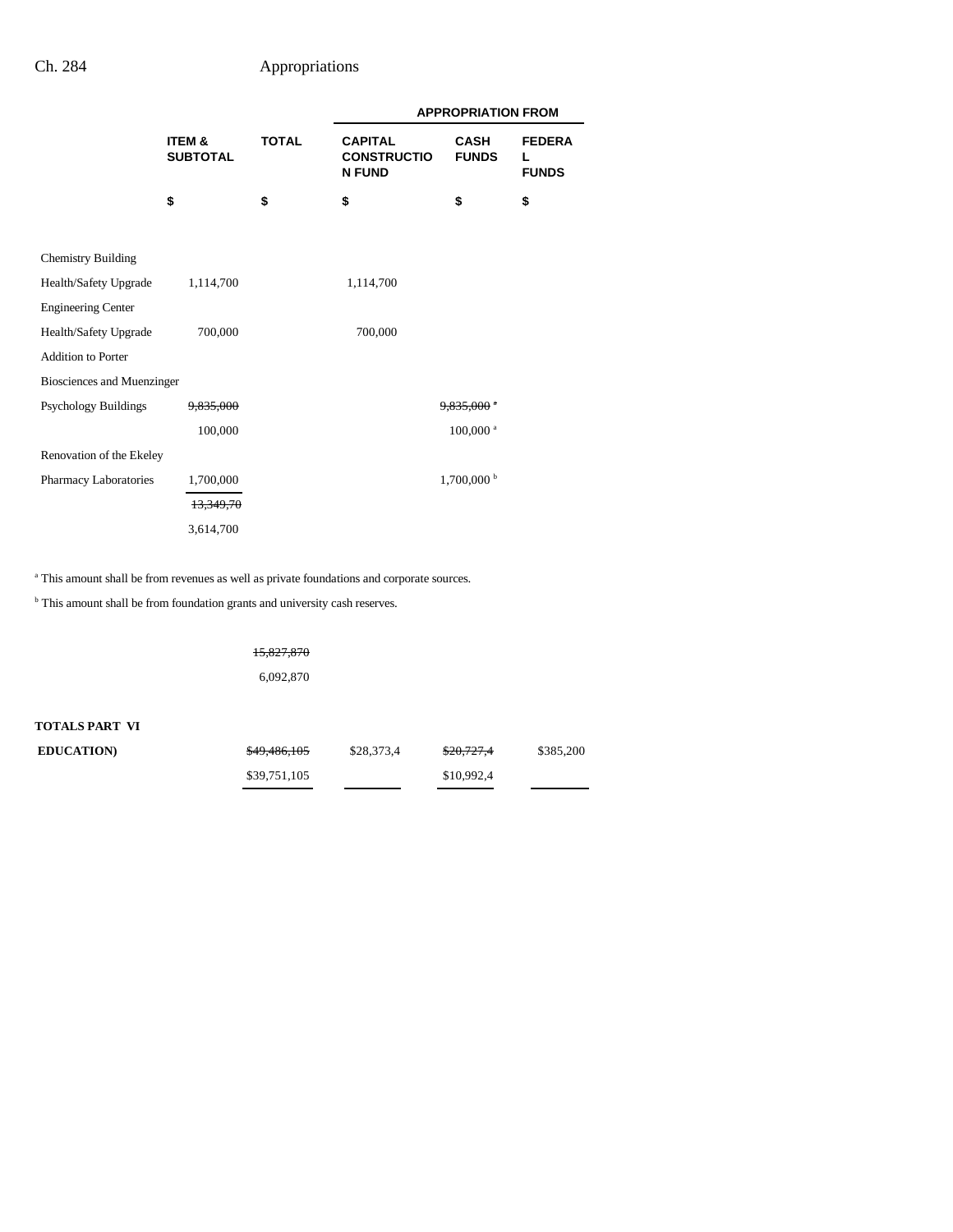|                             |                           |              | <b>APPROPRIATION FROM</b>                             |                             |                                    |
|-----------------------------|---------------------------|--------------|-------------------------------------------------------|-----------------------------|------------------------------------|
|                             | ITEM &<br><b>SUBTOTAL</b> | <b>TOTAL</b> | <b>CAPITAL</b><br><b>CONSTRUCTIO</b><br><b>N FUND</b> | <b>CASH</b><br><b>FUNDS</b> | <b>FEDERA</b><br>L<br><b>FUNDS</b> |
|                             | \$                        | \$           | \$                                                    | \$                          | \$                                 |
|                             |                           |              |                                                       |                             |                                    |
| <b>Chemistry Building</b>   |                           |              |                                                       |                             |                                    |
| Health/Safety Upgrade       | 1,114,700                 |              | 1,114,700                                             |                             |                                    |
| <b>Engineering Center</b>   |                           |              |                                                       |                             |                                    |
| Health/Safety Upgrade       | 700,000                   |              | 700,000                                               |                             |                                    |
| <b>Addition to Porter</b>   |                           |              |                                                       |                             |                                    |
| Biosciences and Muenzinger  |                           |              |                                                       |                             |                                    |
| <b>Psychology Buildings</b> | <del>9,835,000</del>      |              |                                                       | $9.835.000$ $^{\circ}$      |                                    |
|                             | 100,000                   |              |                                                       | $100,000$ <sup>a</sup>      |                                    |
| Renovation of the Ekeley    |                           |              |                                                       |                             |                                    |
| Pharmacy Laboratories       | 1,700,000                 |              |                                                       | 1,700,000 <sup>b</sup>      |                                    |
|                             | 13.349.70                 |              |                                                       |                             |                                    |
|                             | 3,614,700                 |              |                                                       |                             |                                    |

<sup>a</sup> This amount shall be from revenues as well as private foundations and corporate sources.

<sup>b</sup> This amount shall be from foundation grants and university cash reserves.

15,827,870 6,092,870

**TOTALS PART VI**

| <b>EDUCATION</b> | \$49,486,105 | \$28,373.4 | \$20,727,4 | \$385,200 |
|------------------|--------------|------------|------------|-----------|
|                  | \$39,751,105 |            | \$10.992.4 |           |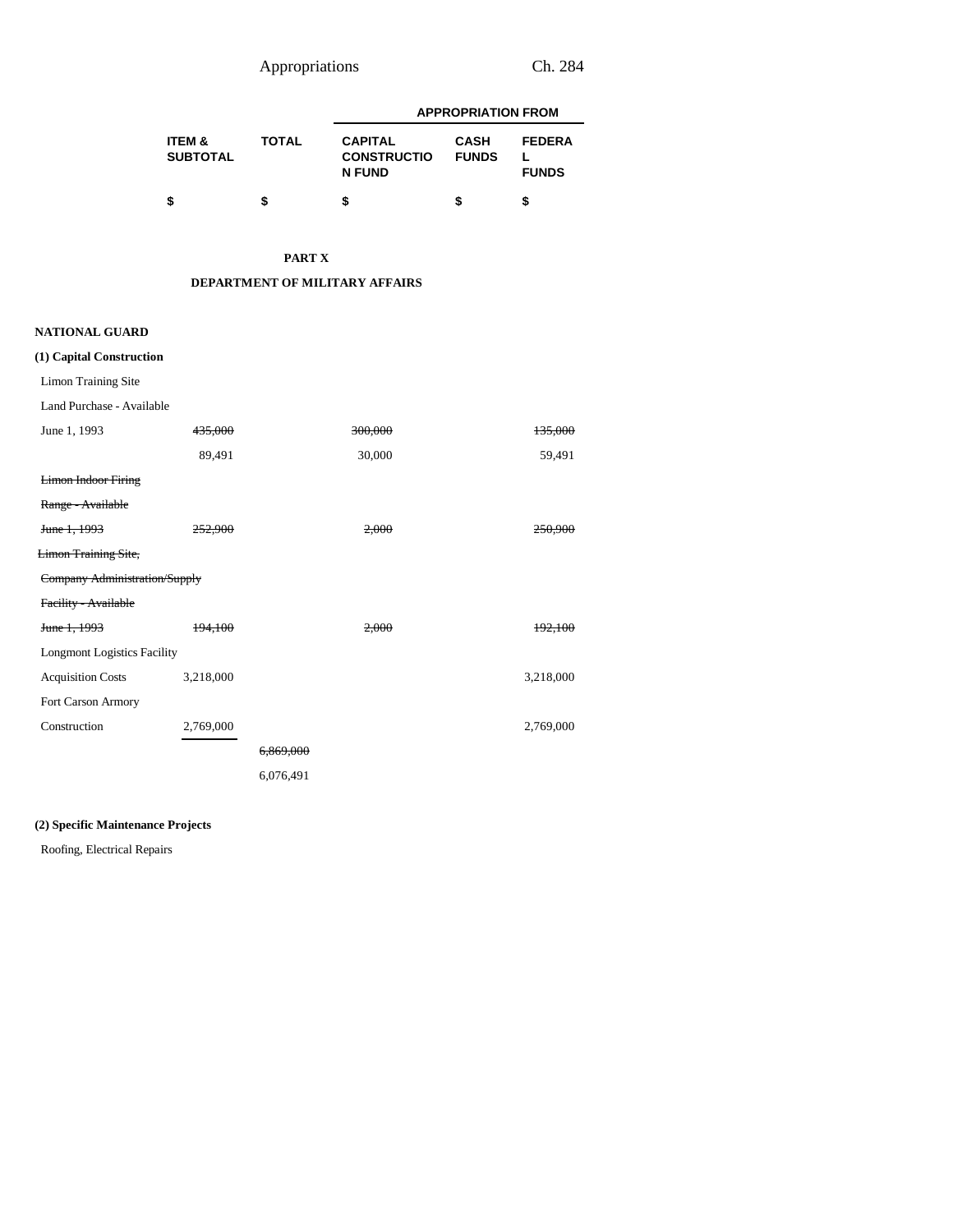Appropriations Ch. 284

|                                      |              | <b>APPROPRIATION FROM</b>                             |                             |                               |  |
|--------------------------------------|--------------|-------------------------------------------------------|-----------------------------|-------------------------------|--|
| <b>ITEM &amp;</b><br><b>SUBTOTAL</b> | <b>TOTAL</b> | <b>CAPITAL</b><br><b>CONSTRUCTIO</b><br><b>N FUND</b> | <b>CASH</b><br><b>FUNDS</b> | <b>FEDERA</b><br><b>FUNDS</b> |  |
|                                      |              |                                                       | S                           |                               |  |

### **PART X**

### **DEPARTMENT OF MILITARY AFFAIRS**

### **NATIONAL GUARD**

| (1) Capital Construction           |           |           |           |
|------------------------------------|-----------|-----------|-----------|
| Limon Training Site                |           |           |           |
| Land Purchase - Available          |           |           |           |
| June 1, 1993                       | 435,000   | 300,000   | 135,000   |
|                                    | 89,491    | 30,000    | 59,491    |
| <b>Limon Indoor Firing</b>         |           |           |           |
| Range - Available                  |           |           |           |
| June 1, 1993                       | 252,900   | 2,000     | 250.900   |
| <b>Limon Training Site,</b>        |           |           |           |
| Company Administration/Supply      |           |           |           |
| Facility - Available               |           |           |           |
| June 1, 1993                       | 194,100   | 2,000     | 192,100   |
| <b>Longmont Logistics Facility</b> |           |           |           |
| <b>Acquisition Costs</b>           | 3,218,000 |           | 3,218,000 |
| Fort Carson Armory                 |           |           |           |
| Construction                       | 2,769,000 |           | 2,769,000 |
|                                    |           | 6,869,000 |           |
|                                    |           | 6,076,491 |           |

### **(2) Specific Maintenance Projects**

Roofing, Electrical Repairs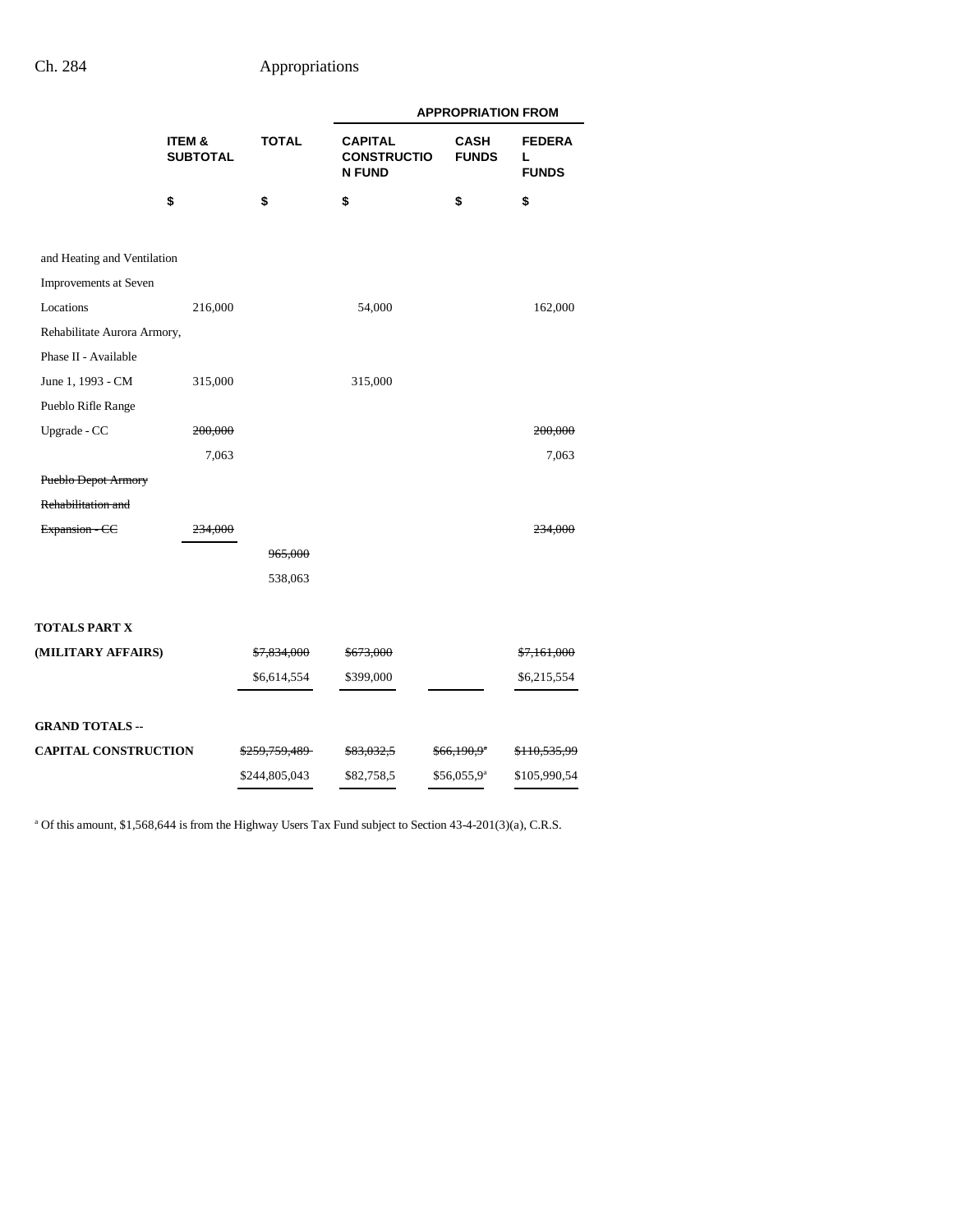|                             |                           |                          | <b>APPROPRIATION FROM</b>                             |                             |                                    |  |
|-----------------------------|---------------------------|--------------------------|-------------------------------------------------------|-----------------------------|------------------------------------|--|
|                             | ITEM &<br><b>SUBTOTAL</b> | <b>TOTAL</b>             | <b>CAPITAL</b><br><b>CONSTRUCTIO</b><br><b>N FUND</b> | <b>CASH</b><br><b>FUNDS</b> | <b>FEDERA</b><br>L<br><b>FUNDS</b> |  |
|                             | \$                        | \$                       | \$                                                    | \$                          | \$                                 |  |
| and Heating and Ventilation |                           |                          |                                                       |                             |                                    |  |
| Improvements at Seven       |                           |                          |                                                       |                             |                                    |  |
| Locations                   | 216,000                   |                          | 54,000                                                |                             | 162,000                            |  |
| Rehabilitate Aurora Armory, |                           |                          |                                                       |                             |                                    |  |
| Phase II - Available        |                           |                          |                                                       |                             |                                    |  |
| June 1, 1993 - CM           | 315,000                   |                          | 315,000                                               |                             |                                    |  |
| Pueblo Rifle Range          |                           |                          |                                                       |                             |                                    |  |
| Upgrade - CC                | 200,000                   |                          |                                                       |                             | 200,000                            |  |
|                             | 7,063                     |                          |                                                       |                             | 7,063                              |  |
| Pueblo Depot Armory         |                           |                          |                                                       |                             |                                    |  |
| Rehabilitation and          |                           |                          |                                                       |                             |                                    |  |
| Expansion - CC              | <del>234,000</del>        |                          |                                                       |                             | <del>234,000</del>                 |  |
|                             |                           | 965,000                  |                                                       |                             |                                    |  |
|                             |                           | 538,063                  |                                                       |                             |                                    |  |
|                             |                           |                          |                                                       |                             |                                    |  |
| TOTALS PART X               |                           |                          |                                                       |                             |                                    |  |
| (MILITARY AFFAIRS)          |                           | \$7,834,000              | \$673,000                                             |                             | \$7,161,000                        |  |
|                             |                           | \$6,614,554              | \$399,000                                             |                             | \$6,215,554                        |  |
|                             |                           |                          |                                                       |                             |                                    |  |
| <b>GRAND TOTALS --</b>      |                           |                          |                                                       |                             |                                    |  |
| <b>CAPITAL CONSTRUCTION</b> |                           | <del>\$259,759,489</del> | <del>\$83,032,5</del>                                 | \$66,190,9 <sup>a</sup>     | <del>\$110,535,99</del>            |  |
|                             |                           | \$244,805,043            | \$82,758,5                                            | \$56,055,9 <sup>a</sup>     | \$105,990,54                       |  |

<sup>a</sup> Of this amount, \$1,568,644 is from the Highway Users Tax Fund subject to Section 43-4-201(3)(a), C.R.S.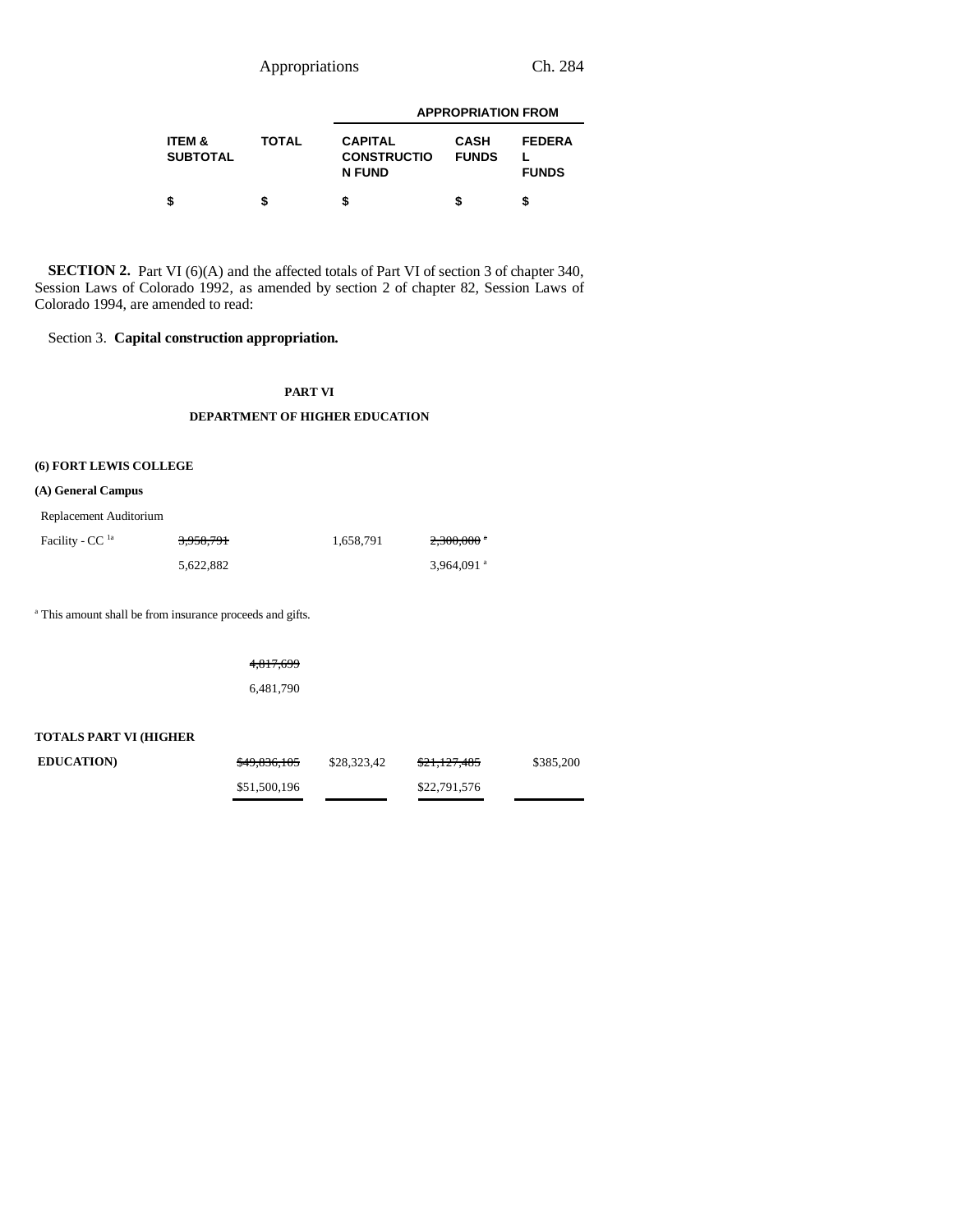Appropriations Ch. 284

|                                      |       | <b>APPROPRIATION FROM</b>                             |                             |                               |  |  |
|--------------------------------------|-------|-------------------------------------------------------|-----------------------------|-------------------------------|--|--|
| <b>ITEM &amp;</b><br><b>SUBTOTAL</b> | TOTAL | <b>CAPITAL</b><br><b>CONSTRUCTIO</b><br><b>N FUND</b> | <b>CASH</b><br><b>FUNDS</b> | <b>FEDERA</b><br><b>FUNDS</b> |  |  |
|                                      |       |                                                       |                             |                               |  |  |

**SECTION 2.** Part VI (6)(A) and the affected totals of Part VI of section 3 of chapter 340, Session Laws of Colorado 1992, as amended by section 2 of chapter 82, Session Laws of Colorado 1994, are amended to read:

Section 3. **Capital construction appropriation.**

#### **PART VI**

#### **DEPARTMENT OF HIGHER EDUCATION**

### **(6) FORT LEWIS COLLEGE**

**(A) General Campus**

Replacement Auditorium

| Facility - CC <sup>la</sup> | 3,958,791 | 1.658.791 | <del>2,300,000</del> *   |
|-----------------------------|-----------|-----------|--------------------------|
|                             | 5.622.882 |           | $3.964.091$ <sup>a</sup> |

a This amount shall be from insurance proceeds and gifts.

4,817,699

6,481,790

#### **TOTALS PART VI (HIGHER**

| <b>EDUCATION</b> | \$49,836,105 | \$28,323.42 | <del>\$21,127,485</del> | \$385,200 |
|------------------|--------------|-------------|-------------------------|-----------|
|                  | \$51,500,196 |             | \$22,791,576            |           |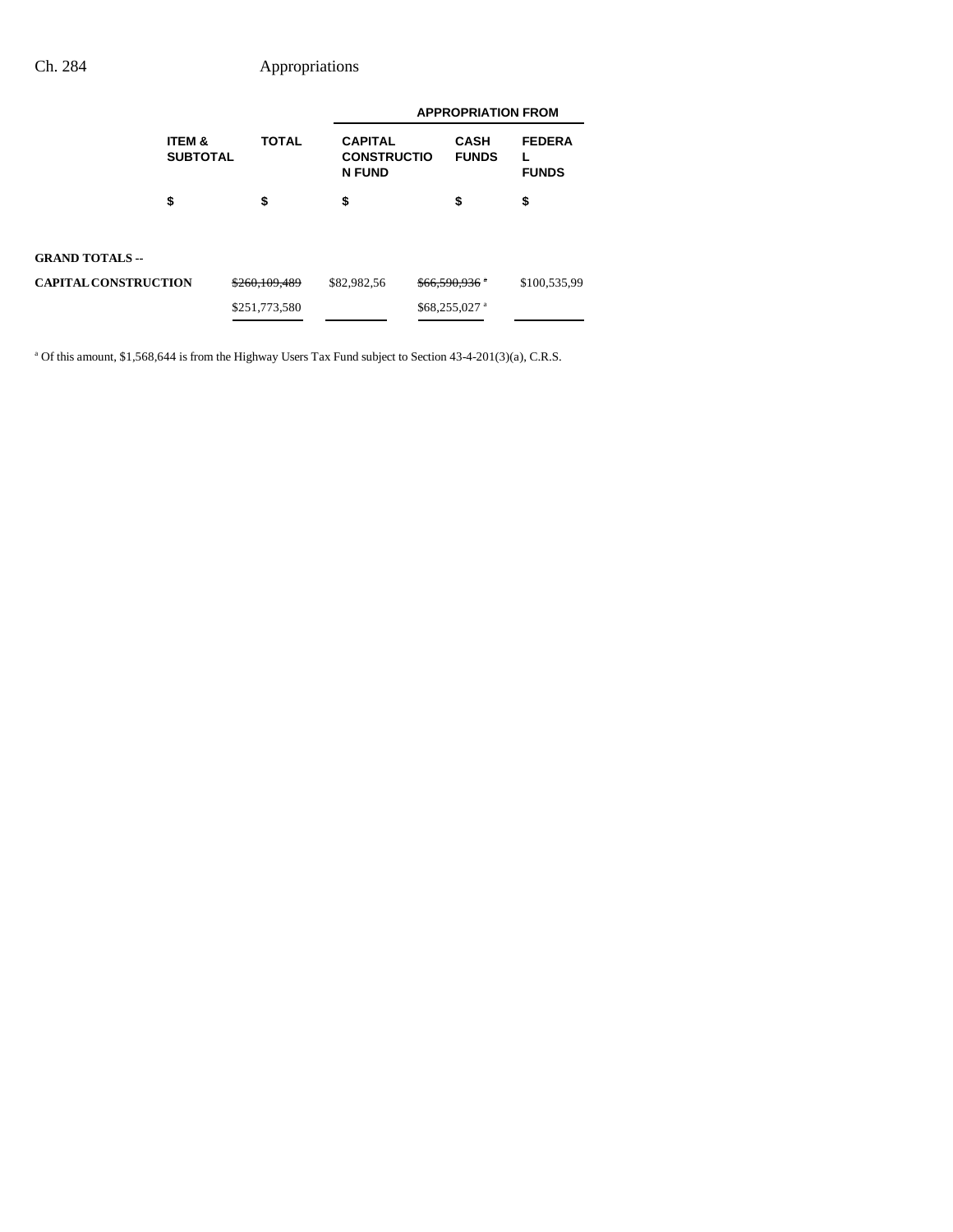|                             |                                      |               | <b>APPROPRIATION FROM</b>                             |                            |                             |                               |
|-----------------------------|--------------------------------------|---------------|-------------------------------------------------------|----------------------------|-----------------------------|-------------------------------|
|                             | <b>ITEM &amp;</b><br><b>SUBTOTAL</b> | <b>TOTAL</b>  | <b>CAPITAL</b><br><b>CONSTRUCTIO</b><br><b>N FUND</b> |                            | <b>CASH</b><br><b>FUNDS</b> | <b>FEDERA</b><br><b>FUNDS</b> |
|                             | \$                                   | \$            | \$                                                    |                            | \$                          | \$                            |
| <b>GRAND TOTALS --</b>      |                                      |               |                                                       |                            |                             |                               |
| <b>CAPITAL CONSTRUCTION</b> |                                      | \$260,109,489 | \$82,982,56                                           | $$66,590.936$ <sup>*</sup> |                             | \$100,535,99                  |
|                             |                                      | \$251,773,580 |                                                       |                            | $$68,255,027$ <sup>a</sup>  |                               |

<sup>a</sup> Of this amount, \$1,568,644 is from the Highway Users Tax Fund subject to Section 43-4-201(3)(a), C.R.S.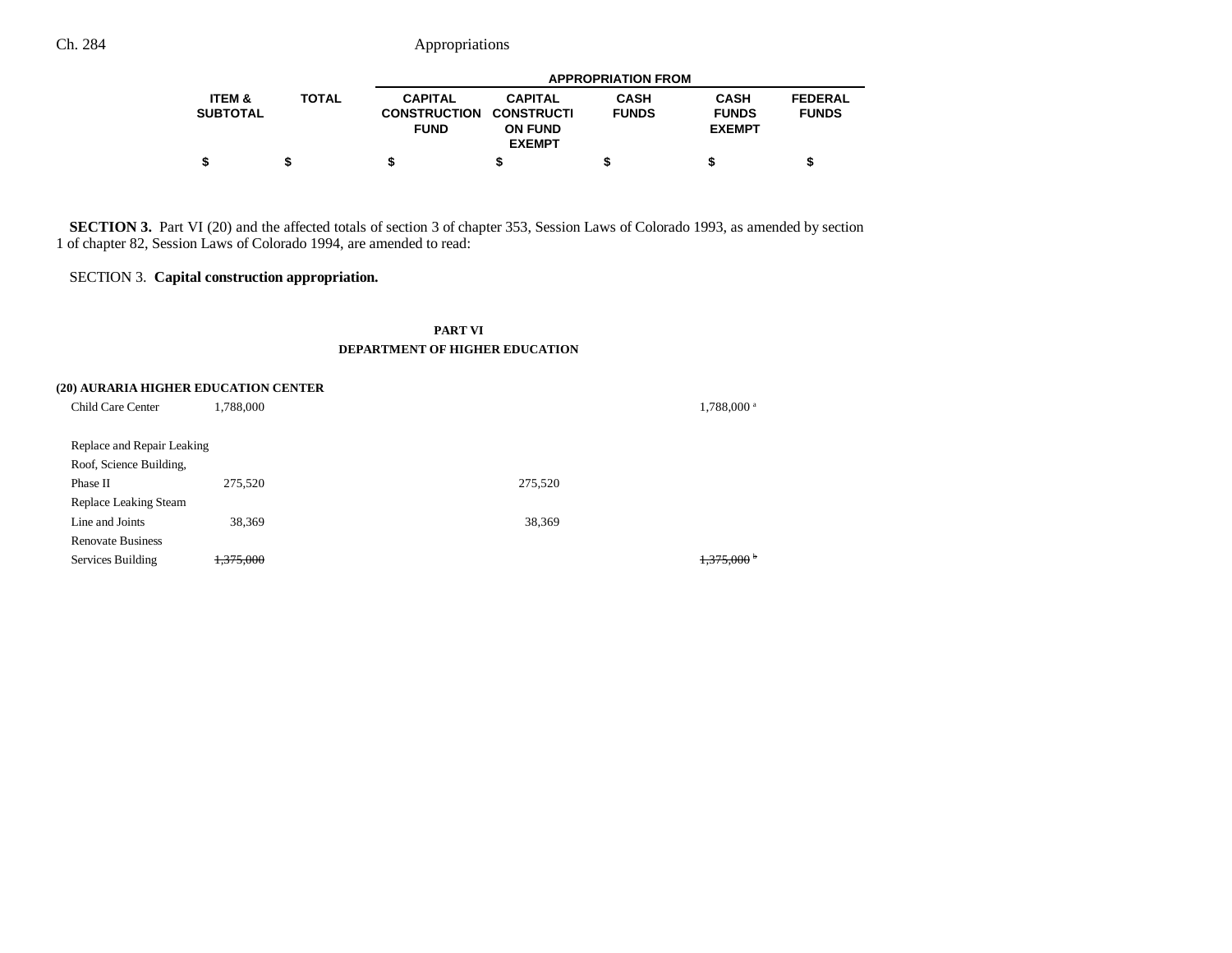|                               |              |                                                                 | <b>APPROPRIATION FROM</b>                         |                             |                                              |                                |  |
|-------------------------------|--------------|-----------------------------------------------------------------|---------------------------------------------------|-----------------------------|----------------------------------------------|--------------------------------|--|
| <b>ITEM &amp;</b><br>SUBTOTAL | <b>TOTAL</b> | <b>CAPITAL</b><br><b>CONSTRUCTION CONSTRUCTI</b><br><b>FUND</b> | <b>CAPITAL</b><br><b>ON FUND</b><br><b>EXEMPT</b> | <b>CASH</b><br><b>FUNDS</b> | <b>CASH</b><br><b>FUNDS</b><br><b>EXEMPT</b> | <b>FEDERAL</b><br><b>FUNDS</b> |  |
|                               |              |                                                                 |                                                   |                             |                                              |                                |  |

**SECTION 3.** Part VI (20) and the affected totals of section 3 of chapter 353, Session Laws of Colorado 1993, as amended by section 1 of chapter 82, Session Laws of Colorado 1994, are amended to read:

#### SECTION 3. **Capital construction appropriation.**

#### **PART VI DEPARTMENT OF HIGHER EDUCATION**

|                            | (20) AURARIA HIGHER EDUCATION CENTER |         |                        |
|----------------------------|--------------------------------------|---------|------------------------|
| Child Care Center          | 1,788,000                            |         | 1,788,000 <sup>a</sup> |
| Replace and Repair Leaking |                                      |         |                        |
| Roof, Science Building,    |                                      |         |                        |
| Phase II                   | 275,520                              | 275,520 |                        |
| Replace Leaking Steam      |                                      |         |                        |
| Line and Joints            | 38,369                               | 38,369  |                        |
| <b>Renovate Business</b>   |                                      |         |                        |
| Services Building          | <del>375,000.</del>                  |         | <del>: 375,000 k</del> |
|                            |                                      |         |                        |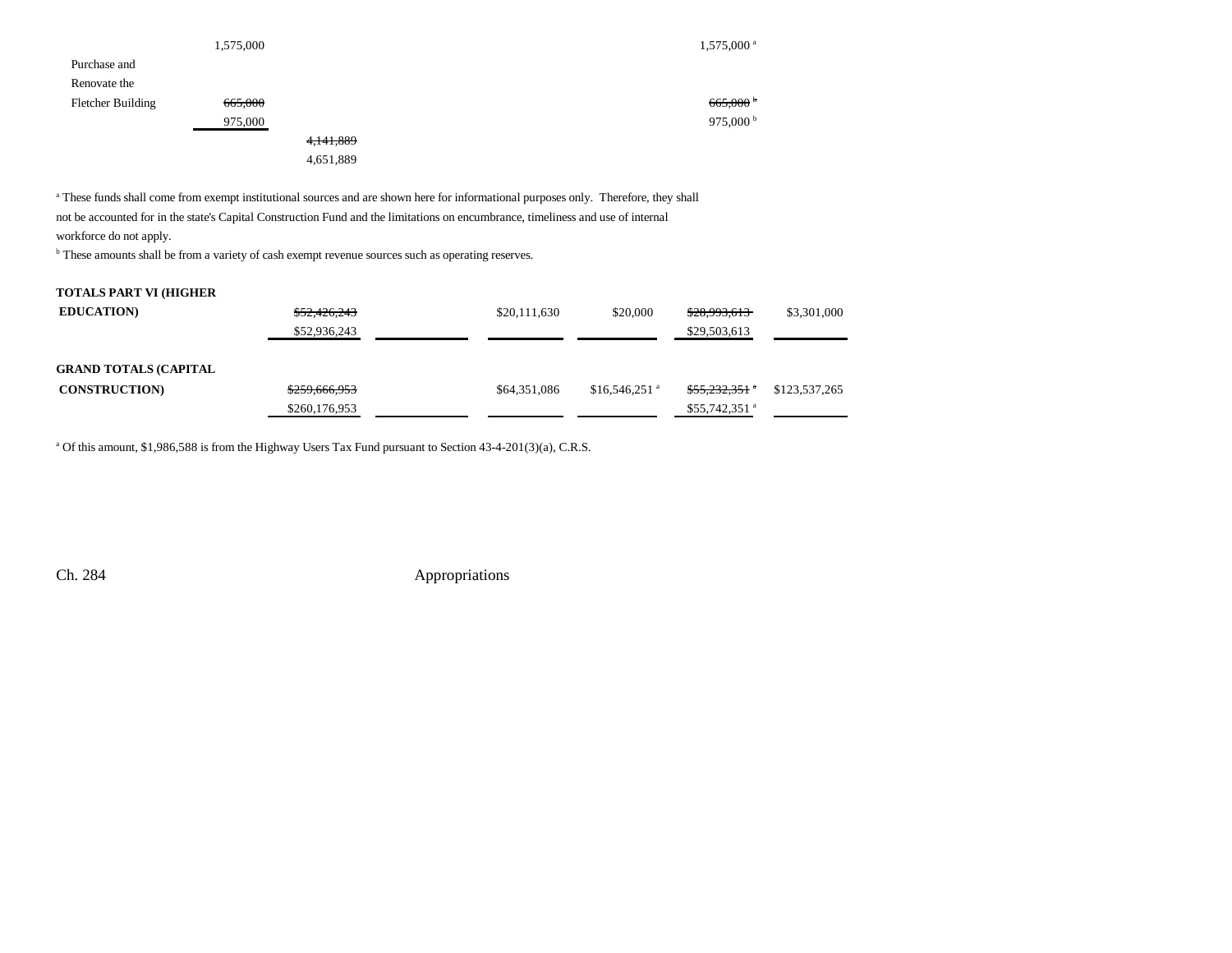|                   | 1,575,000 |           | $1,575,000$ <sup>a</sup> |
|-------------------|-----------|-----------|--------------------------|
| Purchase and      |           |           |                          |
| Renovate the      |           |           |                          |
| Fletcher Building | 665,000   |           | 665,000                  |
|                   | 975,000   |           | 975,000 <sup>b</sup>     |
|                   |           | 4,141,889 |                          |
|                   |           | 4,651,889 |                          |

a These funds shall come from exempt institutional sources and are shown here for informational purposes only. Therefore, they shall not be accounted for in the state's Capital Construction Fund and the limitations on encumbrance, timeliness and use of internal

workforce do not apply.

b These amounts shall be from a variety of cash exempt revenue sources such as operating reserves.

#### **TOTALS PART VI (HIGHER**

| <b>EDUCATION</b>             | \$52,426,243<br>\$52,936,243 | \$20,111,630 | \$20,000                   | \$28,993,613<br>\$29,503,613 | \$3,301,000   |
|------------------------------|------------------------------|--------------|----------------------------|------------------------------|---------------|
| <b>GRAND TOTALS (CAPITAL</b> |                              |              |                            |                              |               |
| <b>CONSTRUCTION</b>          | \$259,666,953                | \$64,351,086 | $$16.546.251$ <sup>a</sup> | <del>\$55,232,351</del> *    | \$123,537,265 |
|                              | \$260,176,953                |              |                            | $$55,742,351$ <sup>a</sup>   |               |

<sup>a</sup> Of this amount, \$1,986,588 is from the Highway Users Tax Fund pursuant to Section 43-4-201(3)(a), C.R.S.

Ch. 284 Appropriations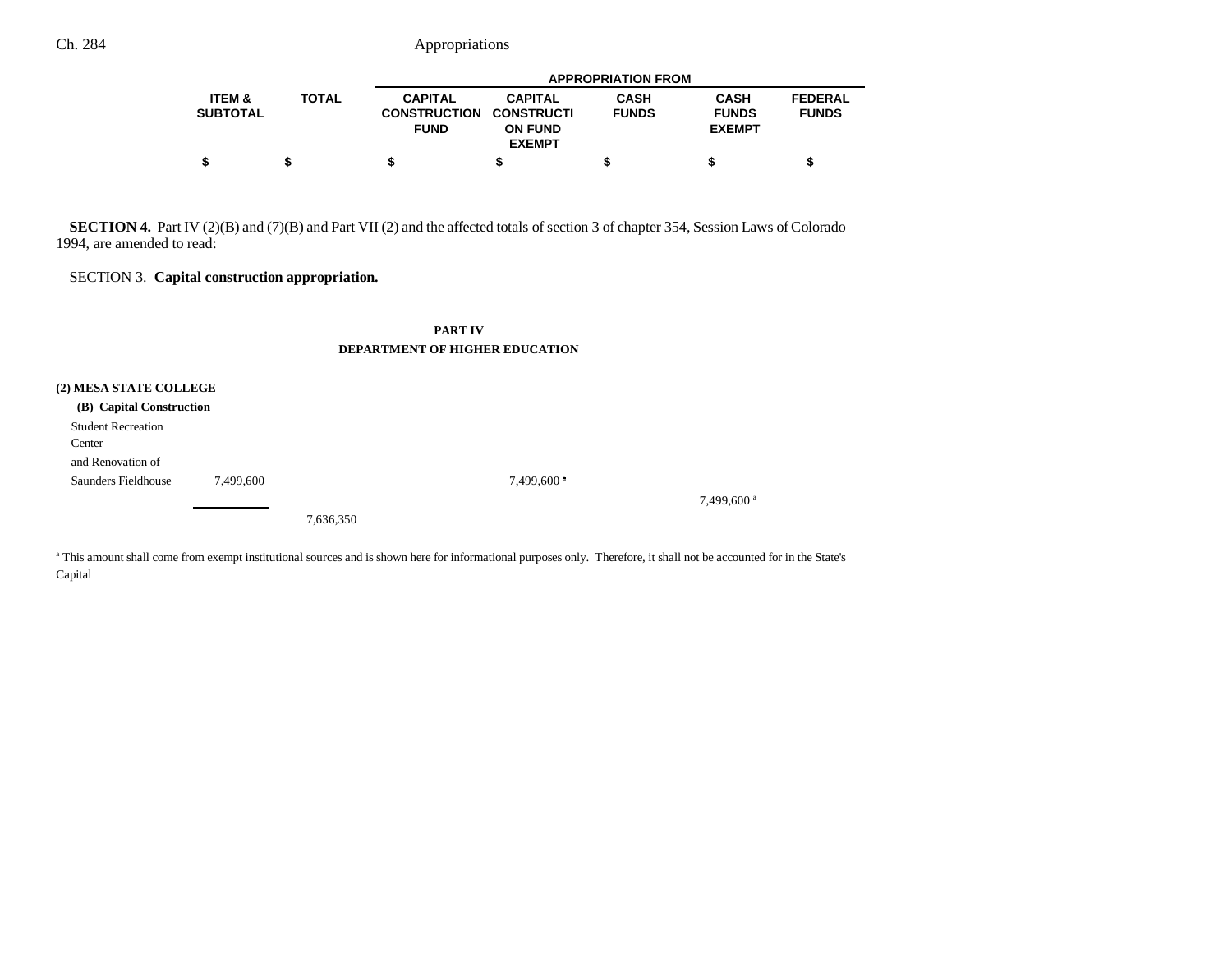|                               |              | <b>APPROPRIATION FROM</b>             |                                     |                             |                             |                                |  |
|-------------------------------|--------------|---------------------------------------|-------------------------------------|-----------------------------|-----------------------------|--------------------------------|--|
| <b>ITEM &amp;</b><br>SUBTOTAL | <b>TOTAL</b> | <b>CAPITAL</b><br><b>CONSTRUCTION</b> | <b>CAPITAL</b><br><b>CONSTRUCTI</b> | <b>CASH</b><br><b>FUNDS</b> | <b>CASH</b><br><b>FUNDS</b> | <b>FEDERAL</b><br><b>FUNDS</b> |  |
|                               |              | <b>FUND</b>                           | <b>ON FUND</b><br><b>EXEMPT</b>     |                             | <b>EXEMPT</b>               |                                |  |
|                               |              |                                       |                                     |                             |                             |                                |  |

**SECTION 4.** Part IV (2)(B) and (7)(B) and Part VII (2) and the affected totals of section 3 of chapter 354, Session Laws of Colorado 1994, are amended to read:

#### SECTION 3. **Capital construction appropriation.**

#### **PART IV DEPARTMENT OF HIGHER EDUCATION**

#### **(2) MESA STATE COLLEGE**

| (B) Capital Construction  |           |           |                        |                          |
|---------------------------|-----------|-----------|------------------------|--------------------------|
| <b>Student Recreation</b> |           |           |                        |                          |
| Center                    |           |           |                        |                          |
| and Renovation of         |           |           |                        |                          |
| Saunders Fieldhouse       | 7.499.600 |           | $7,499,600$ $^{\circ}$ |                          |
|                           |           |           |                        | $7,499,600$ <sup>a</sup> |
|                           |           | 7,636,350 |                        |                          |

<sup>a</sup> This amount shall come from exempt institutional sources and is shown here for informational purposes only. Therefore, it shall not be accounted for in the State's Capital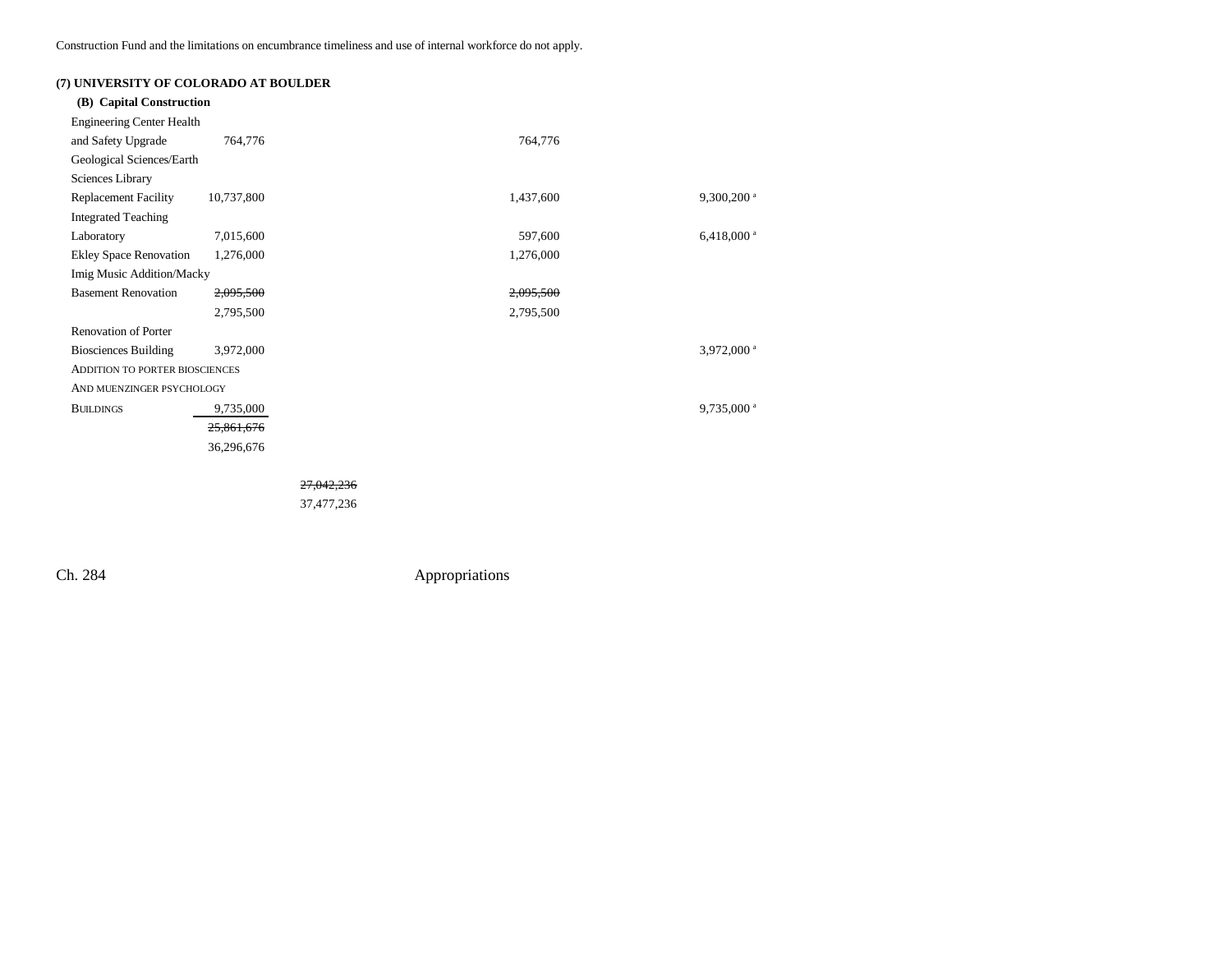Construction Fund and the limitations on encumbrance timeliness and use of internal workforce do not apply.

| (7) UNIVERSITY OF COLORADO AT BOULDER |            |           |                          |
|---------------------------------------|------------|-----------|--------------------------|
| (B) Capital Construction              |            |           |                          |
| <b>Engineering Center Health</b>      |            |           |                          |
| and Safety Upgrade                    | 764,776    | 764,776   |                          |
| Geological Sciences/Earth             |            |           |                          |
| Sciences Library                      |            |           |                          |
| <b>Replacement Facility</b>           | 10,737,800 | 1,437,600 | $9,300,200$ <sup>a</sup> |
| <b>Integrated Teaching</b>            |            |           |                          |
| Laboratory                            | 7,015,600  | 597,600   | $6,418,000$ <sup>a</sup> |
| <b>Ekley Space Renovation</b>         | 1,276,000  | 1,276,000 |                          |
| Imig Music Addition/Macky             |            |           |                          |
| <b>Basement Renovation</b>            | 2,095,500  | 2,095,500 |                          |
|                                       | 2,795,500  | 2,795,500 |                          |
| <b>Renovation of Porter</b>           |            |           |                          |
| <b>Biosciences Building</b>           | 3,972,000  |           | 3,972,000 <sup>a</sup>   |
| <b>ADDITION TO PORTER BIOSCIENCES</b> |            |           |                          |
| AND MUENZINGER PSYCHOLOGY             |            |           |                          |
| <b>BUILDINGS</b>                      | 9,735,000  |           | $9,735,000$ <sup>a</sup> |
|                                       | 25,861,676 |           |                          |
|                                       | 36,296,676 |           |                          |
|                                       |            |           |                          |

27,042,236

37,477,236

Ch. 284 Appropriations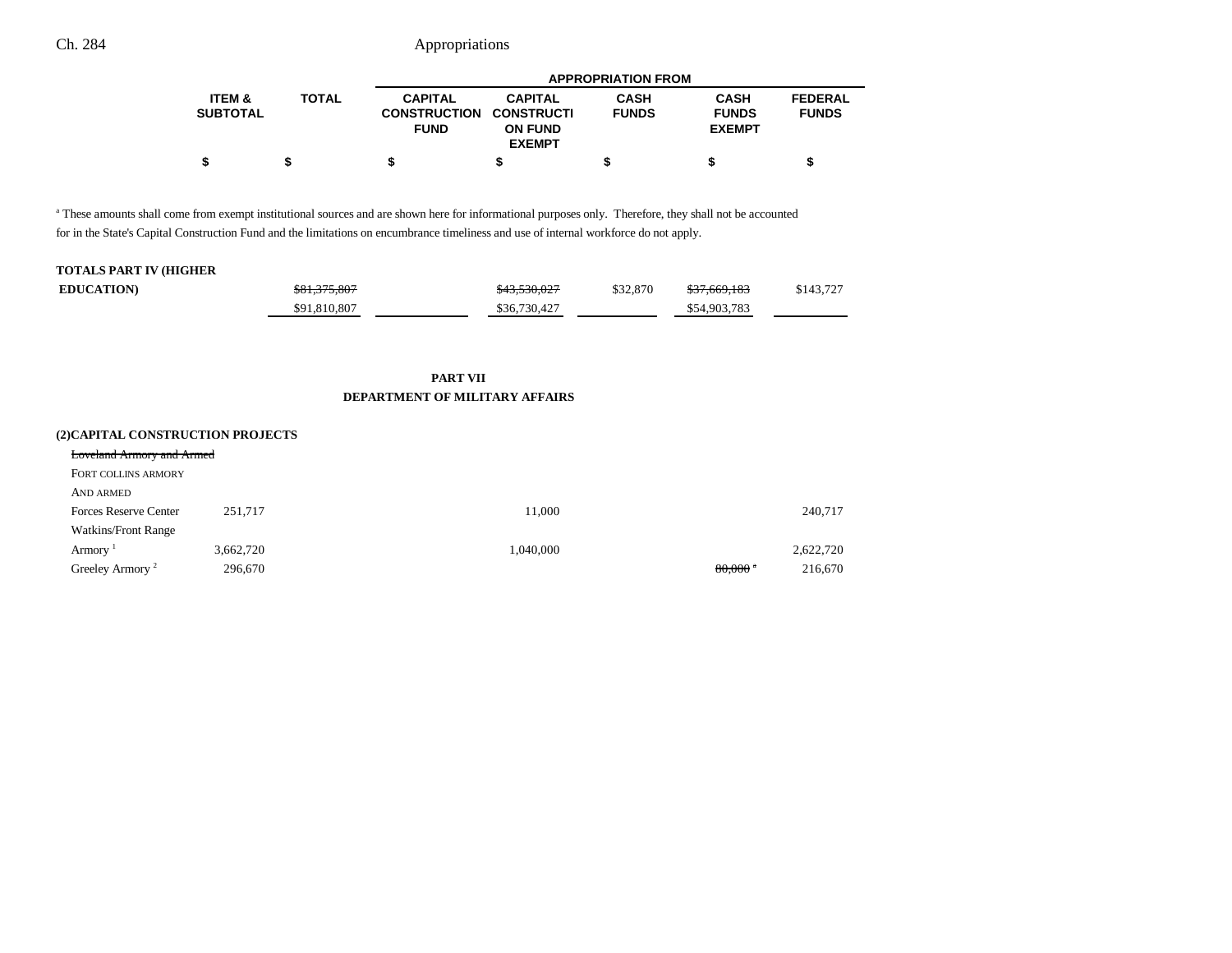|                               |              |                                                                 | <b>APPROPRIATION FROM</b>                         |                             |                                              |                                |  |
|-------------------------------|--------------|-----------------------------------------------------------------|---------------------------------------------------|-----------------------------|----------------------------------------------|--------------------------------|--|
| <b>ITEM &amp;</b><br>SUBTOTAL | <b>TOTAL</b> | <b>CAPITAL</b><br><b>CONSTRUCTION CONSTRUCTI</b><br><b>FUND</b> | <b>CAPITAL</b><br><b>ON FUND</b><br><b>EXEMPT</b> | <b>CASH</b><br><b>FUNDS</b> | <b>CASH</b><br><b>FUNDS</b><br><b>EXEMPT</b> | <b>FEDERAL</b><br><b>FUNDS</b> |  |
| \$                            |              |                                                                 |                                                   |                             |                                              |                                |  |

a These amounts shall come from exempt institutional sources and are shown here for informational purposes only. Therefore, they shall not be accounted for in the State's Capital Construction Fund and the limitations on encumbrance timeliness and use of internal workforce do not apply.

### **TOTALS PART IV (HIGHER**

| <b>EDUCATION</b> | \$81,375,807 | \$43,530,027 | \$32,870 | \$37,669,183 | \$143,727 |
|------------------|--------------|--------------|----------|--------------|-----------|
|                  | \$91,810,807 | \$36,730,427 |          | \$54,903,783 |           |

### **PART VIIDEPARTMENT OF MILITARY AFFAIRS**

| (2) CAPITAL CONSTRUCTION PROJECTS |           |           |                       |           |
|-----------------------------------|-----------|-----------|-----------------------|-----------|
| <b>Loveland Armory and Armed</b>  |           |           |                       |           |
| FORT COLLINS ARMORY               |           |           |                       |           |
| <b>AND ARMED</b>                  |           |           |                       |           |
| <b>Forces Reserve Center</b>      | 251.717   | 11.000    |                       | 240,717   |
| <b>Watkins/Front Range</b>        |           |           |                       |           |
| Armory <sup>1</sup>               | 3.662.720 | 1,040,000 |                       | 2,622,720 |
| Greeley Armory <sup>2</sup>       | 296,670   |           | $80,000$ <sup>a</sup> | 216,670   |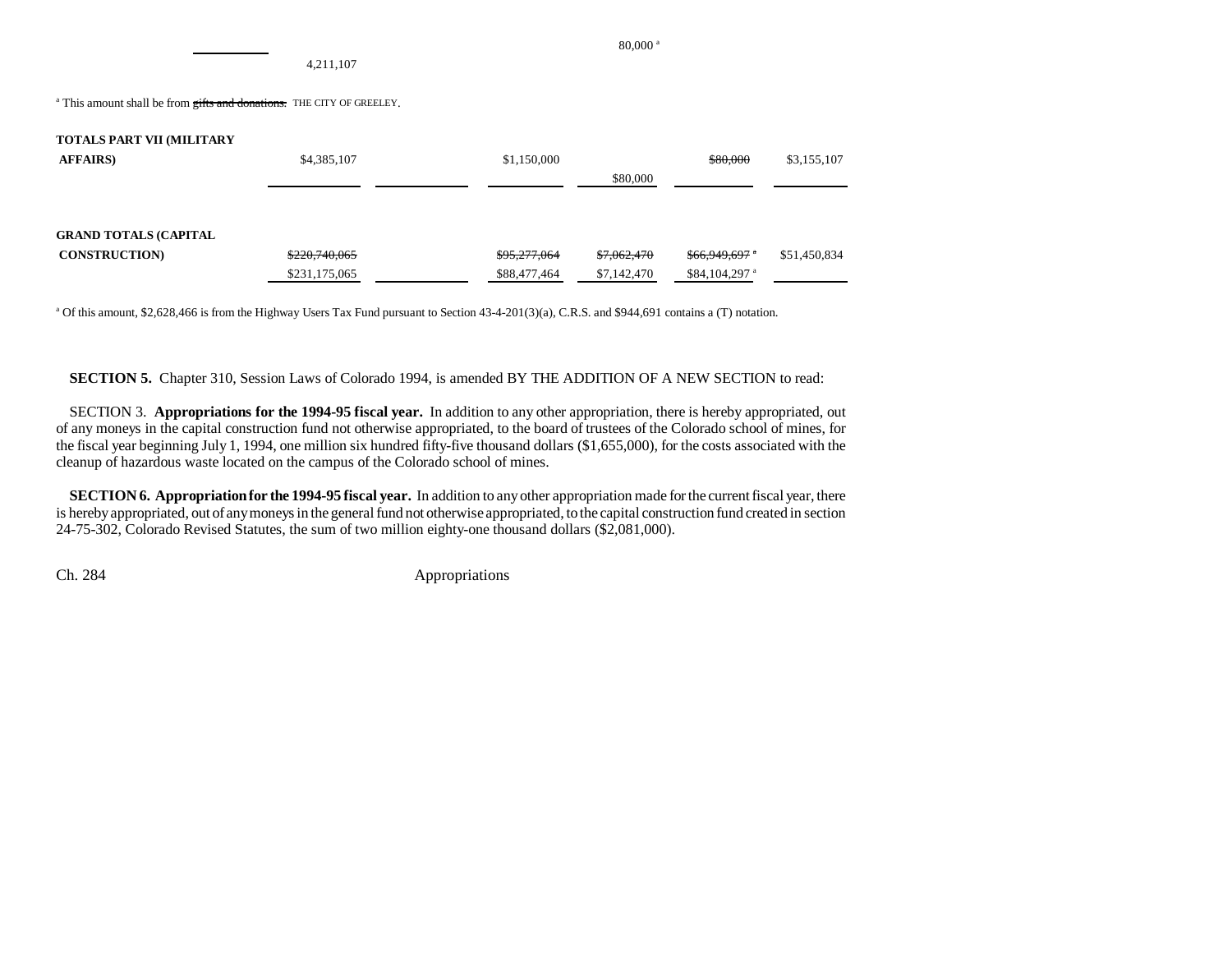4,211,107

<sup>a</sup> This amount shall be from gifts and donations. THE CITY OF GREELEY.

| <b>TOTALS PART VII (MILITARY</b> |               |              |             |                            |              |
|----------------------------------|---------------|--------------|-------------|----------------------------|--------------|
| <b>AFFAIRS</b> )                 | \$4,385,107   | \$1,150,000  |             | \$80,000                   | \$3,155,107  |
|                                  |               |              | \$80,000    |                            |              |
|                                  |               |              |             |                            |              |
|                                  |               |              |             |                            |              |
| <b>GRAND TOTALS (CAPITAL</b>     |               |              |             |                            |              |
| <b>CONSTRUCTION</b>              | \$220,740,065 | \$95,277,064 | \$7,062,470 | $$66,949,697$ *            | \$51,450,834 |
|                                  | \$231,175,065 | \$88,477,464 | \$7,142,470 | $$84,104,297$ <sup>a</sup> |              |

a Of this amount, \$2,628,466 is from the Highway Users Tax Fund pursuant to Section 43-4-201(3)(a), C.R.S. and \$944,691 contains a (T) notation.

**SECTION 5.** Chapter 310, Session Laws of Colorado 1994, is amended BY THE ADDITION OF A NEW SECTION to read:

SECTION 3. **Appropriations for the 1994-95 fiscal year.** In addition to any other appropriation, there is hereby appropriated, out of any moneys in the capital construction fund not otherwise appropriated, to the board of trustees of the Colorado school of mines, for the fiscal year beginning July 1, 1994, one million six hundred fifty-five thousand dollars (\$1,655,000), for the costs associated with the cleanup of hazardous waste located on the campus of the Colorado school of mines.

**SECTION 6. Appropriation for the 1994-95 fiscal year.** In addition to any other appropriation made for the current fiscal year, there is hereby appropriated, out of any moneys in the general fund not otherwise appropriated, to the capital construction fund created in section 24-75-302, Colorado Revised Statutes, the sum of two million eighty-one thousand dollars (\$2,081,000).

Ch. 284 Appropriations